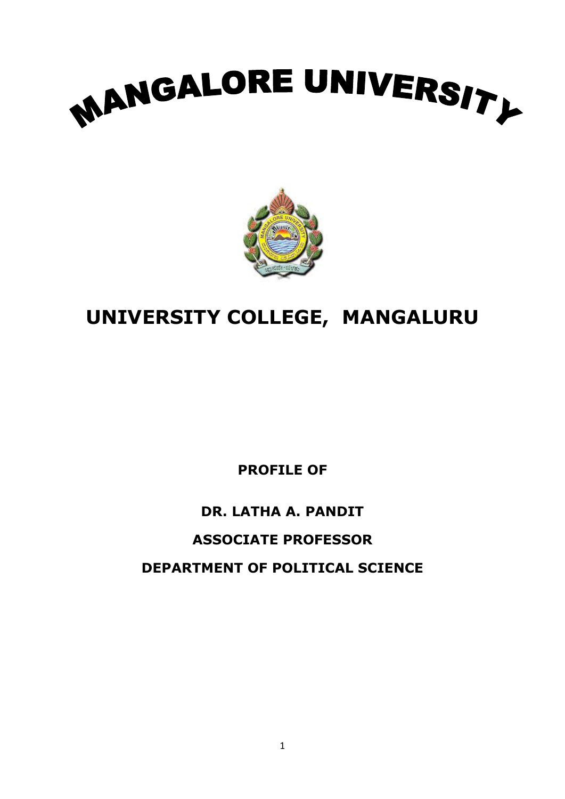



# **UNIVERSITY COLLEGE, MANGALURU**

**PROFILE OF**

# **DR. LATHA A. PANDIT ASSOCIATE PROFESSOR DEPARTMENT OF POLITICAL SCIENCE**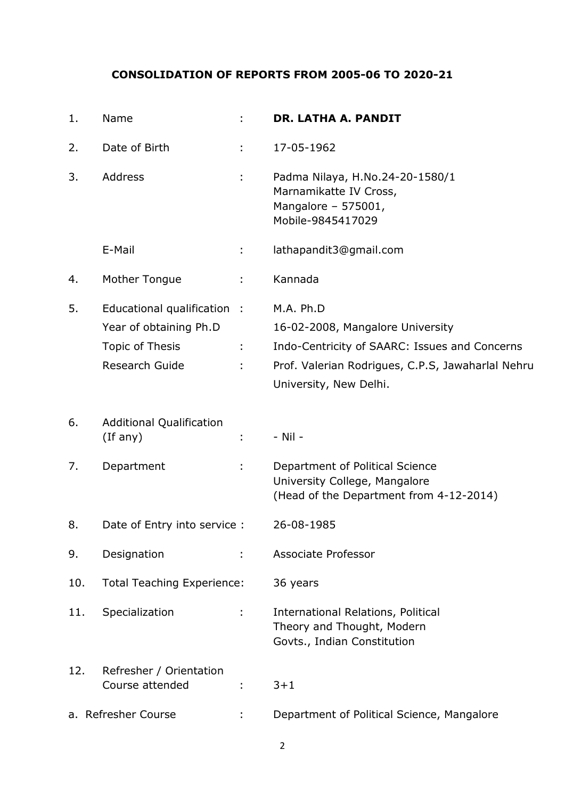# **CONSOLIDATION OF REPORTS FROM 2005-06 TO 2020-21**

| 1.  | Name                                                                                       |    | <b>DR. LATHA A. PANDIT</b>                                                                                                                                                    |
|-----|--------------------------------------------------------------------------------------------|----|-------------------------------------------------------------------------------------------------------------------------------------------------------------------------------|
| 2.  | Date of Birth                                                                              | ÷. | 17-05-1962                                                                                                                                                                    |
| 3.  | Address                                                                                    |    | Padma Nilaya, H.No.24-20-1580/1<br>Marnamikatte IV Cross,<br>Mangalore - 575001,<br>Mobile-9845417029                                                                         |
|     | E-Mail                                                                                     | ÷. | lathapandit3@gmail.com                                                                                                                                                        |
| 4.  | Mother Tongue                                                                              |    | Kannada                                                                                                                                                                       |
| 5.  | Educational qualification :<br>Year of obtaining Ph.D<br>Topic of Thesis<br>Research Guide |    | M.A. Ph.D<br>16-02-2008, Mangalore University<br>Indo-Centricity of SAARC: Issues and Concerns<br>Prof. Valerian Rodrigues, C.P.S, Jawaharlal Nehru<br>University, New Delhi. |
| 6.  | <b>Additional Qualification</b><br>(If any)                                                |    | - Nil -                                                                                                                                                                       |
| 7.  | Department                                                                                 |    | Department of Political Science<br>University College, Mangalore<br>(Head of the Department from 4-12-2014)                                                                   |
| 8.  | Date of Entry into service :                                                               |    | 26-08-1985                                                                                                                                                                    |
| 9.  | Designation                                                                                |    | <b>Associate Professor</b>                                                                                                                                                    |
| 10. | <b>Total Teaching Experience:</b>                                                          |    | 36 years                                                                                                                                                                      |
| 11. | Specialization                                                                             | ÷. | <b>International Relations, Political</b><br>Theory and Thought, Modern<br>Govts., Indian Constitution                                                                        |
| 12. | Refresher / Orientation<br>Course attended                                                 |    | $3 + 1$                                                                                                                                                                       |
|     | a. Refresher Course                                                                        |    | Department of Political Science, Mangalore                                                                                                                                    |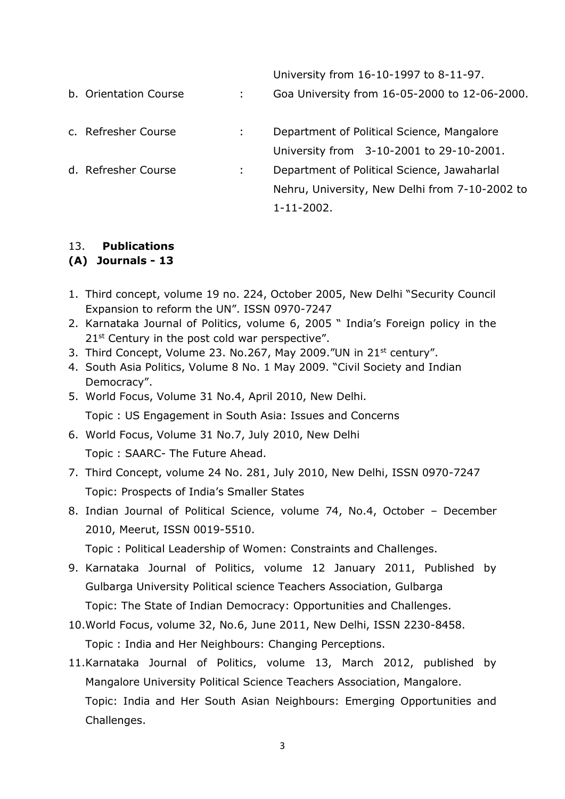|                       |    | University from 16-10-1997 to 8-11-97.         |
|-----------------------|----|------------------------------------------------|
| b. Orientation Course | ÷. | Goa University from 16-05-2000 to 12-06-2000.  |
| c. Refresher Course   | ÷. | Department of Political Science, Mangalore     |
|                       |    | University from 3-10-2001 to 29-10-2001.       |
| d. Refresher Course   | ÷. | Department of Political Science, Jawaharlal    |
|                       |    | Nehru, University, New Delhi from 7-10-2002 to |
|                       |    | $1 - 11 - 2002$ .                              |

## 13. **Publications**

## **(A) Journals - 13**

- 1. Third concept, volume 19 no. 224, October 2005, New Delhi "Security Council Expansion to reform the UN". ISSN 0970-7247
- 2. Karnataka Journal of Politics, volume 6, 2005 " India's Foreign policy in the 21<sup>st</sup> Century in the post cold war perspective".
- 3. Third Concept, Volume 23. No.267, May 2009."UN in 21<sup>st</sup> century".
- 4. South Asia Politics, Volume 8 No. 1 May 2009. "Civil Society and Indian Democracy".
- 5. World Focus, Volume 31 No.4, April 2010, New Delhi. Topic : US Engagement in South Asia: Issues and Concerns
- 6. World Focus, Volume 31 No.7, July 2010, New Delhi Topic : SAARC- The Future Ahead.
- 7. Third Concept, volume 24 No. 281, July 2010, New Delhi, ISSN 0970-7247 Topic: Prospects of India's Smaller States
- 8. Indian Journal of Political Science, volume 74, No.4, October December 2010, Meerut, ISSN 0019-5510.

Topic : Political Leadership of Women: Constraints and Challenges.

- 9. Karnataka Journal of Politics, volume 12 January 2011, Published by Gulbarga University Political science Teachers Association, Gulbarga Topic: The State of Indian Democracy: Opportunities and Challenges.
- 10.World Focus, volume 32, No.6, June 2011, New Delhi, ISSN 2230-8458. Topic : India and Her Neighbours: Changing Perceptions.
- 11.Karnataka Journal of Politics, volume 13, March 2012, published by Mangalore University Political Science Teachers Association, Mangalore. Topic: India and Her South Asian Neighbours: Emerging Opportunities and Challenges.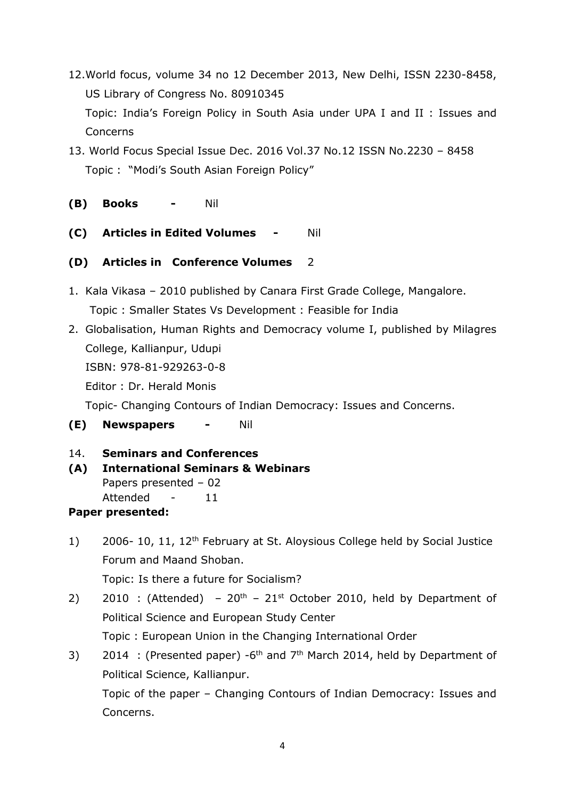- 12.World focus, volume 34 no 12 December 2013, New Delhi, ISSN 2230-8458, US Library of Congress No. 80910345 Topic: India's Foreign Policy in South Asia under UPA I and II : Issues and Concerns
- 13. World Focus Special Issue Dec. 2016 Vol.37 No.12 ISSN No.2230 8458 Topic : "Modi's South Asian Foreign Policy"
- **(B) Books -** Nil
- **(C) Articles in Edited Volumes -** Nil
- **(D) Articles in Conference Volumes** 2
- 1. Kala Vikasa 2010 published by Canara First Grade College, Mangalore. Topic : Smaller States Vs Development : Feasible for India
- 2. Globalisation, Human Rights and Democracy volume I, published by Milagres College, Kallianpur, Udupi ISBN: 978-81-929263-0-8 Editor : Dr. Herald Monis

Topic- Changing Contours of Indian Democracy: Issues and Concerns.

- **(E) Newspapers -** Nil
- 14. **Seminars and Conferences**
- **(A) International Seminars & Webinars** Papers presented – 02 Attended - 11 **Paper presented:**
- 1) 2006- 10, 11, 12<sup>th</sup> February at St. Aloysious College held by Social Justice Forum and Maand Shoban. Topic: Is there a future for Socialism?
- 2) 2010 : (Attended)  $20^{th}$   $21^{st}$  October 2010, held by Department of Political Science and European Study Center Topic : European Union in the Changing International Order
- 3) 2014 : (Presented paper) -6<sup>th</sup> and  $7<sup>th</sup>$  March 2014, held by Department of Political Science, Kallianpur. Topic of the paper – Changing Contours of Indian Democracy: Issues and

Concerns.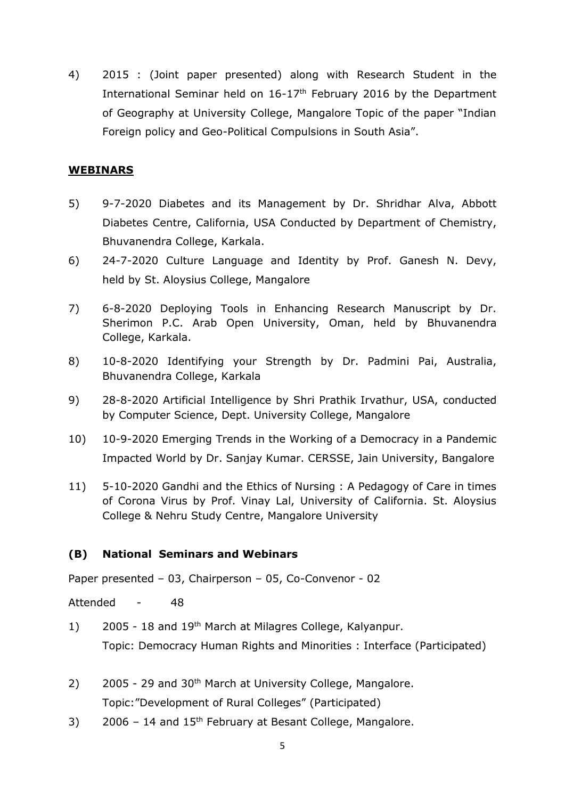4) 2015 : (Joint paper presented) along with Research Student in the International Seminar held on 16-17<sup>th</sup> February 2016 by the Department of Geography at University College, Mangalore Topic of the paper "Indian Foreign policy and Geo-Political Compulsions in South Asia".

## **WEBINARS**

- 5) 9-7-2020 Diabetes and its Management by Dr. Shridhar Alva, Abbott Diabetes Centre, California, USA Conducted by Department of Chemistry, Bhuvanendra College, Karkala.
- 6) 24-7-2020 Culture Language and Identity by Prof. Ganesh N. Devy, held by St. Aloysius College, Mangalore
- 7) 6-8-2020 Deploying Tools in Enhancing Research Manuscript by Dr. Sherimon P.C. Arab Open University, Oman, held by Bhuvanendra College, Karkala.
- 8) 10-8-2020 Identifying your Strength by Dr. Padmini Pai, Australia, Bhuvanendra College, Karkala
- 9) 28-8-2020 Artificial Intelligence by Shri Prathik Irvathur, USA, conducted by Computer Science, Dept. University College, Mangalore
- 10) 10-9-2020 Emerging Trends in the Working of a Democracy in a Pandemic Impacted World by Dr. Sanjay Kumar. CERSSE, Jain University, Bangalore
- 11) 5-10-2020 Gandhi and the Ethics of Nursing : A Pedagogy of Care in times of Corona Virus by Prof. Vinay Lal, University of California. St. Aloysius College & Nehru Study Centre, Mangalore University

## **(B) National Seminars and Webinars**

Paper presented – 03, Chairperson – 05, Co-Convenor - 02

Attended - 48

- 1) 2005 18 and 19<sup>th</sup> March at Milagres College, Kalyanpur. Topic: Democracy Human Rights and Minorities : Interface (Participated)
- 2)  $2005 29$  and  $30<sup>th</sup>$  March at University College, Mangalore. Topic:"Development of Rural Colleges" (Participated)
- 3) 2006 14 and  $15<sup>th</sup>$  February at Besant College, Mangalore.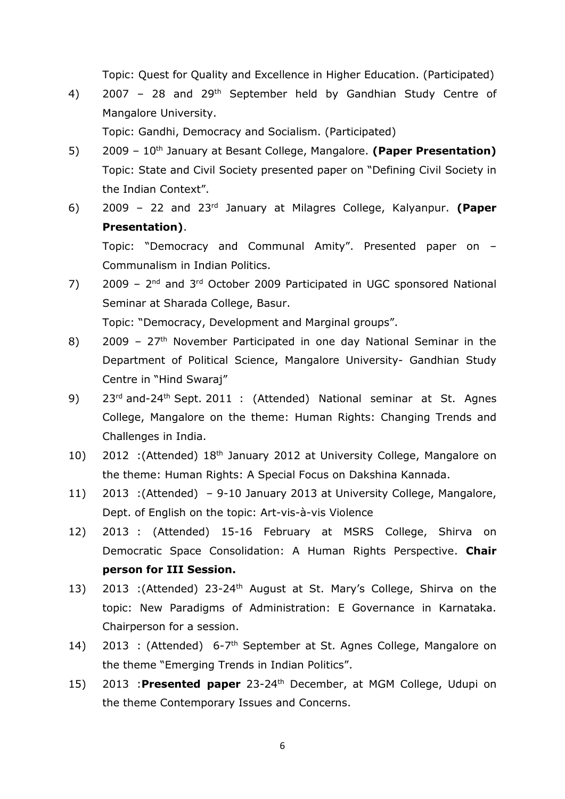Topic: Quest for Quality and Excellence in Higher Education. (Participated)

4) 2007 – 28 and 29th September held by Gandhian Study Centre of Mangalore University.

Topic: Gandhi, Democracy and Socialism. (Participated)

- 5) 2009 10th January at Besant College, Mangalore. **(Paper Presentation)** Topic: State and Civil Society presented paper on "Defining Civil Society in the Indian Context".
- 6) 2009 22 and 23rd January at Milagres College, Kalyanpur. **(Paper Presentation)**. Topic: "Democracy and Communal Amity". Presented paper on –

Communalism in Indian Politics.

 $7$ ) 2009 –  $2<sup>nd</sup>$  and  $3<sup>rd</sup>$  October 2009 Participated in UGC sponsored National Seminar at Sharada College, Basur.

Topic: "Democracy, Development and Marginal groups".

- 8) 2009  $27<sup>th</sup>$  November Participated in one day National Seminar in the Department of Political Science, Mangalore University- Gandhian Study Centre in "Hind Swaraj"
- 9) 23<sup>rd</sup> and-24<sup>th</sup> Sept. 2011 : (Attended) National seminar at St. Agnes College, Mangalore on the theme: Human Rights: Changing Trends and Challenges in India.
- 10) 2012 : (Attended) 18<sup>th</sup> January 2012 at University College, Mangalore on the theme: Human Rights: A Special Focus on Dakshina Kannada.
- 11) 2013 :(Attended) 9-10 January 2013 at University College, Mangalore, Dept. of English on the topic: Art-vis-à-vis Violence
- 12) 2013 : (Attended) 15-16 February at MSRS College, Shirva on Democratic Space Consolidation: A Human Rights Perspective. **Chair person for III Session.**
- 13) 2013 :(Attended) 23-24<sup>th</sup> August at St. Mary's College, Shirva on the topic: New Paradigms of Administration: E Governance in Karnataka. Chairperson for a session.
- 14) 2013 : (Attended) 6-7<sup>th</sup> September at St. Agnes College, Mangalore on the theme "Emerging Trends in Indian Politics".
- 15) 2013 :**Presented paper** 23-24th December, at MGM College, Udupi on the theme Contemporary Issues and Concerns.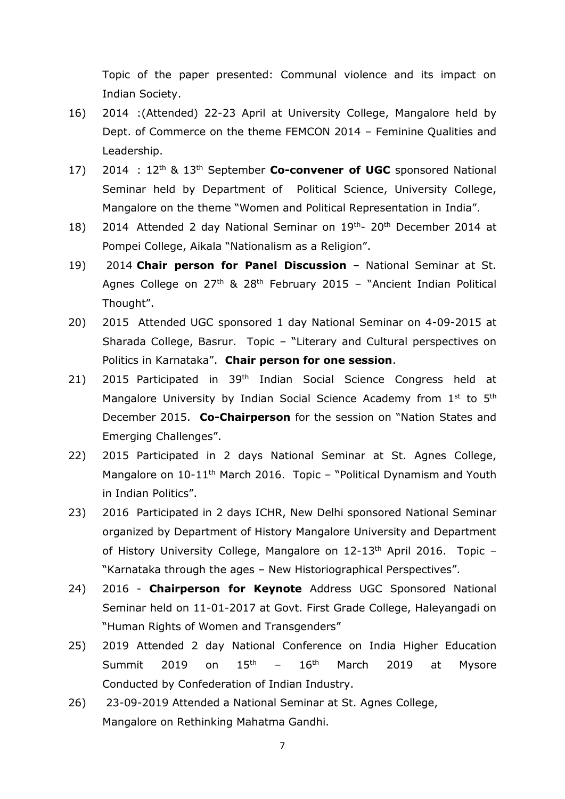Topic of the paper presented: Communal violence and its impact on Indian Society.

- 16) 2014 :(Attended) 22-23 April at University College, Mangalore held by Dept. of Commerce on the theme FEMCON 2014 – Feminine Qualities and Leadership.
- 17) 2014 : 12th & 13th September **Co-convener of UGC** sponsored National Seminar held by Department of Political Science, University College, Mangalore on the theme "Women and Political Representation in India".
- 18) 2014 Attended 2 day National Seminar on 19<sup>th</sup>- 20<sup>th</sup> December 2014 at Pompei College, Aikala "Nationalism as a Religion".
- 19) 2014 **Chair person for Panel Discussion** National Seminar at St. Agnes College on  $27<sup>th</sup>$  &  $28<sup>th</sup>$  February 2015 – "Ancient Indian Political Thought".
- 20) 2015 Attended UGC sponsored 1 day National Seminar on 4-09-2015 at Sharada College, Basrur. Topic – "Literary and Cultural perspectives on Politics in Karnataka". **Chair person for one session**.
- 21) 2015 Participated in 39<sup>th</sup> Indian Social Science Congress held at Mangalore University by Indian Social Science Academy from 1<sup>st</sup> to 5<sup>th</sup> December 2015. **Co-Chairperson** for the session on "Nation States and Emerging Challenges".
- 22) 2015 Participated in 2 days National Seminar at St. Agnes College, Mangalore on 10-11<sup>th</sup> March 2016. Topic – "Political Dynamism and Youth in Indian Politics".
- 23) 2016 Participated in 2 days ICHR, New Delhi sponsored National Seminar organized by Department of History Mangalore University and Department of History University College, Mangalore on 12-13<sup>th</sup> April 2016. Topic -"Karnataka through the ages – New Historiographical Perspectives".
- 24) 2016 **Chairperson for Keynote** Address UGC Sponsored National Seminar held on 11-01-2017 at Govt. First Grade College, Haleyangadi on "Human Rights of Women and Transgenders"
- 25) 2019 Attended 2 day National Conference on India Higher Education Summit 2019 on  $15<sup>th</sup>$  –  $16<sup>th</sup>$  March 2019 at Mysore Conducted by Confederation of Indian Industry.
- 26) 23-09-2019 Attended a National Seminar at St. Agnes College, Mangalore on Rethinking Mahatma Gandhi.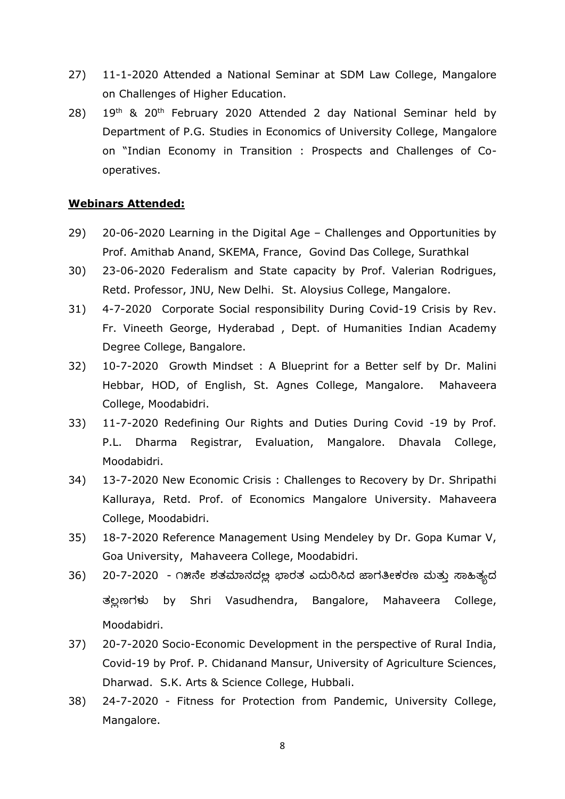- 27) 11-1-2020 Attended a National Seminar at SDM Law College, Mangalore on Challenges of Higher Education.
- 28) 19th & 20th February 2020 Attended 2 day National Seminar held by Department of P.G. Studies in Economics of University College, Mangalore on "Indian Economy in Transition : Prospects and Challenges of Cooperatives.

#### **Webinars Attended:**

- 29) 20-06-2020 Learning in the Digital Age Challenges and Opportunities by Prof. Amithab Anand, SKEMA, France, Govind Das College, Surathkal
- 30) 23-06-2020 Federalism and State capacity by Prof. Valerian Rodrigues, Retd. Professor, JNU, New Delhi. St. Aloysius College, Mangalore.
- 31) 4-7-2020 Corporate Social responsibility During Covid-19 Crisis by Rev. Fr. Vineeth George, Hyderabad , Dept. of Humanities Indian Academy Degree College, Bangalore.
- 32) 10-7-2020 Growth Mindset : A Blueprint for a Better self by Dr. Malini Hebbar, HOD, of English, St. Agnes College, Mangalore. Mahaveera College, Moodabidri.
- 33) 11-7-2020 Redefining Our Rights and Duties During Covid -19 by Prof. P.L. Dharma Registrar, Evaluation, Mangalore. Dhavala College, Moodabidri.
- 34) 13-7-2020 New Economic Crisis : Challenges to Recovery by Dr. Shripathi Kalluraya, Retd. Prof. of Economics Mangalore University. Mahaveera College, Moodabidri.
- 35) 18-7-2020 Reference Management Using Mendeley by Dr. Gopa Kumar V, Goa University, Mahaveera College, Moodabidri.
- 36) 20-7-2020 ೧೫ನೇ ಶತಮಾನದಲ್ಲ ಭಾರತ ಎದುರಿಸಿದ ಜಾಗತೀಕರಣ ಮತು ಸಾಹಿತ್ಯದ ತಲ್ಲಣಗಳು by Shri Vasudhendra, Bangalore, Mahaveera College, Moodabidri.
- 37) 20-7-2020 Socio-Economic Development in the perspective of Rural India, Covid-19 by Prof. P. Chidanand Mansur, University of Agriculture Sciences, Dharwad. S.K. Arts & Science College, Hubbali.
- 38) 24-7-2020 Fitness for Protection from Pandemic, University College, Mangalore.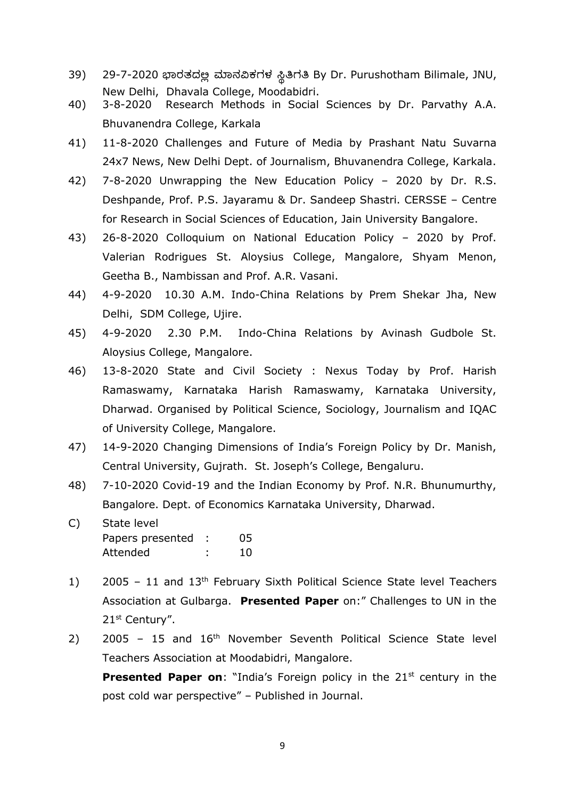- 39) 29-7-2020 ಭಾರತದಲ್ಲಿ ಮಾನವಿಕಗಳ ಸ್ಥಿತಿಗತಿ By Dr. Purushotham Bilimale, JNU, New Delhi, Dhavala College, Moodabidri.
- 40) 3-8-2020 Research Methods in Social Sciences by Dr. Parvathy A.A. Bhuvanendra College, Karkala
- 41) 11-8-2020 Challenges and Future of Media by Prashant Natu Suvarna 24x7 News, New Delhi Dept. of Journalism, Bhuvanendra College, Karkala.
- 42) 7-8-2020 Unwrapping the New Education Policy 2020 by Dr. R.S. Deshpande, Prof. P.S. Jayaramu & Dr. Sandeep Shastri. CERSSE – Centre for Research in Social Sciences of Education, Jain University Bangalore.
- 43) 26-8-2020 Colloquium on National Education Policy 2020 by Prof. Valerian Rodrigues St. Aloysius College, Mangalore, Shyam Menon, Geetha B., Nambissan and Prof. A.R. Vasani.
- 44) 4-9-2020 10.30 A.M. Indo-China Relations by Prem Shekar Jha, New Delhi, SDM College, Ujire.
- 45) 4-9-2020 2.30 P.M. Indo-China Relations by Avinash Gudbole St. Aloysius College, Mangalore.
- 46) 13-8-2020 State and Civil Society : Nexus Today by Prof. Harish Ramaswamy, Karnataka Harish Ramaswamy, Karnataka University, Dharwad. Organised by Political Science, Sociology, Journalism and IQAC of University College, Mangalore.
- 47) 14-9-2020 Changing Dimensions of India's Foreign Policy by Dr. Manish, Central University, Gujrath. St. Joseph's College, Bengaluru.
- 48) 7-10-2020 Covid-19 and the Indian Economy by Prof. N.R. Bhunumurthy, Bangalore. Dept. of Economics Karnataka University, Dharwad.
- C) State level Papers presented : 05 Attended : 10
- 1) 2005 11 and 13<sup>th</sup> February Sixth Political Science State level Teachers Association at Gulbarga. **Presented Paper** on:" Challenges to UN in the 21st Century".
- 2) 2005 15 and 16<sup>th</sup> November Seventh Political Science State level Teachers Association at Moodabidri, Mangalore.

**Presented Paper on:** "India's Foreign policy in the 21st century in the post cold war perspective" – Published in Journal.

9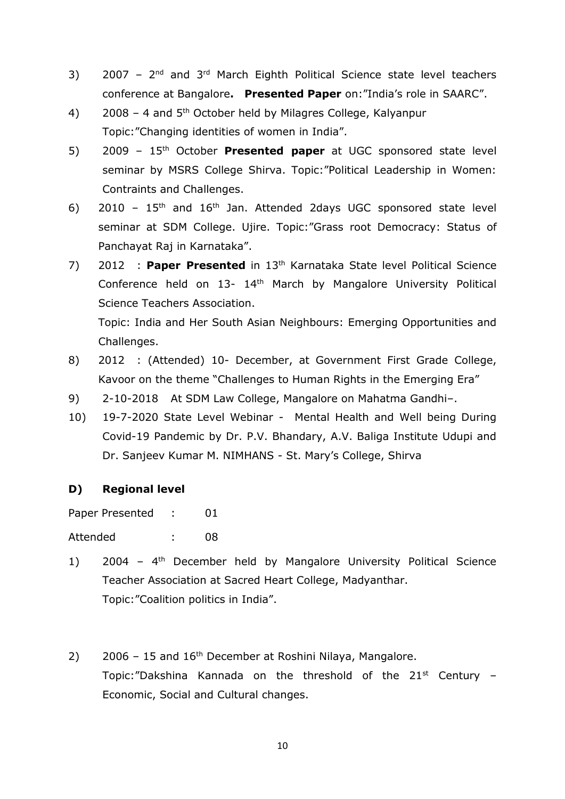- 3) 2007  $2<sup>nd</sup>$  and  $3<sup>rd</sup>$  March Eighth Political Science state level teachers conference at Bangalore**. Presented Paper** on:"India's role in SAARC".
- 4) 2008 4 and 5<sup>th</sup> October held by Milagres College, Kalyanpur Topic:"Changing identities of women in India".
- 5) 2009 15th October **Presented paper** at UGC sponsored state level seminar by MSRS College Shirva. Topic:"Political Leadership in Women: Contraints and Challenges.
- 6) 2010  $15<sup>th</sup>$  and  $16<sup>th</sup>$  Jan. Attended 2days UGC sponsored state level seminar at SDM College. Ujire. Topic:"Grass root Democracy: Status of Panchayat Raj in Karnataka".
- 7) 2012 : **Paper Presented** in 13th Karnataka State level Political Science Conference held on 13- 14<sup>th</sup> March by Mangalore University Political Science Teachers Association.

Topic: India and Her South Asian Neighbours: Emerging Opportunities and Challenges.

- 8) 2012 : (Attended) 10- December, at Government First Grade College, Kavoor on the theme "Challenges to Human Rights in the Emerging Era"
- 9) 2-10-2018 At SDM Law College, Mangalore on Mahatma Gandhi-.
- 10) 19-7-2020 State Level Webinar Mental Health and Well being During Covid-19 Pandemic by Dr. P.V. Bhandary, A.V. Baliga Institute Udupi and Dr. Sanjeev Kumar M. NIMHANS - St. Mary's College, Shirva

## **D) Regional level**

Paper Presented : 01

Attended : 08

- 1) 2004 4<sup>th</sup> December held by Mangalore University Political Science Teacher Association at Sacred Heart College, Madyanthar. Topic:"Coalition politics in India".
- 2) 2006 15 and  $16<sup>th</sup>$  December at Roshini Nilaya, Mangalore. Topic:"Dakshina Kannada on the threshold of the  $21^{st}$  Century -Economic, Social and Cultural changes.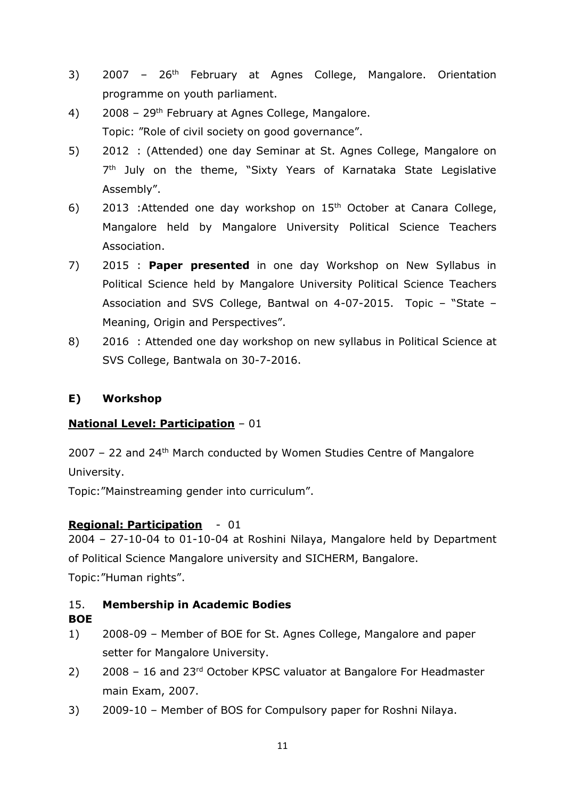- 3) 2007 26<sup>th</sup> February at Agnes College, Mangalore. Orientation programme on youth parliament.
- 4) 2008 29th February at Agnes College, Mangalore. Topic: "Role of civil society on good governance".
- 5) 2012 : (Attended) one day Seminar at St. Agnes College, Mangalore on 7<sup>th</sup> July on the theme, "Sixty Years of Karnataka State Legislative Assembly".
- 6) 2013 : Attended one day workshop on  $15<sup>th</sup>$  October at Canara College, Mangalore held by Mangalore University Political Science Teachers Association.
- 7) 2015 : **Paper presented** in one day Workshop on New Syllabus in Political Science held by Mangalore University Political Science Teachers Association and SVS College, Bantwal on 4-07-2015. Topic – "State – Meaning, Origin and Perspectives".
- 8) 2016 : Attended one day workshop on new syllabus in Political Science at SVS College, Bantwala on 30-7-2016.

# **E) Workshop**

# **National Level: Participation** – 01

2007 – 22 and 24th March conducted by Women Studies Centre of Mangalore University.

Topic:"Mainstreaming gender into curriculum".

# **Regional: Participation** - 01

2004 – 27-10-04 to 01-10-04 at Roshini Nilaya, Mangalore held by Department of Political Science Mangalore university and SICHERM, Bangalore. Topic:"Human rights".

## 15. **Membership in Academic Bodies**

## **BOE**

- 1) 2008-09 Member of BOE for St. Agnes College, Mangalore and paper setter for Mangalore University.
- 2) 2008 16 and 23<sup>rd</sup> October KPSC valuator at Bangalore For Headmaster main Exam, 2007.
- 3) 2009-10 Member of BOS for Compulsory paper for Roshni Nilaya.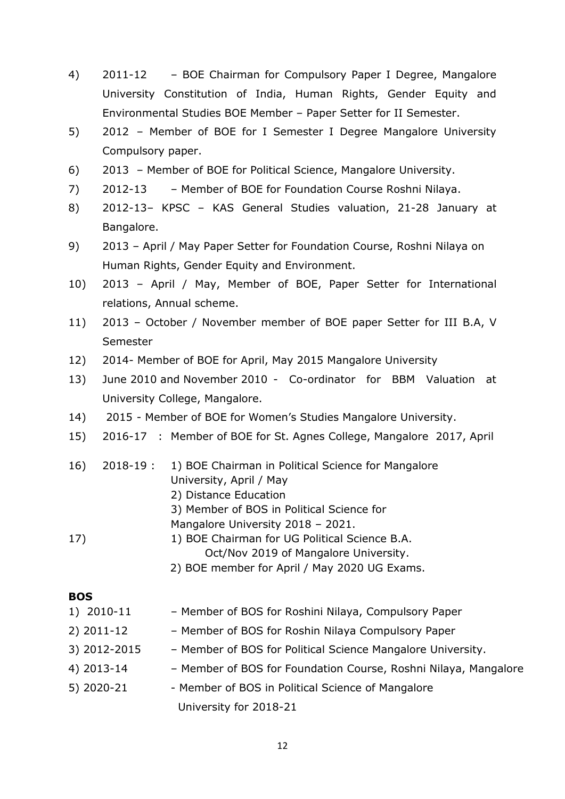- 4) 2011-12 BOE Chairman for Compulsory Paper I Degree, Mangalore University Constitution of India, Human Rights, Gender Equity and Environmental Studies BOE Member – Paper Setter for II Semester.
- 5) 2012 Member of BOE for I Semester I Degree Mangalore University Compulsory paper.
- 6) 2013 Member of BOE for Political Science, Mangalore University.
- 7) 2012-13 Member of BOE for Foundation Course Roshni Nilaya.
- 8) 2012-13– KPSC KAS General Studies valuation, 21-28 January at Bangalore.
- 9) 2013 April / May Paper Setter for Foundation Course, Roshni Nilaya on Human Rights, Gender Equity and Environment.
- 10) 2013 April / May, Member of BOE, Paper Setter for International relations, Annual scheme.
- 11) 2013 October / November member of BOE paper Setter for III B.A, V Semester
- 12) 2014- Member of BOE for April, May 2015 Mangalore University
- 13) June 2010 and November 2010 Co-ordinator for BBM Valuation at University College, Mangalore.
- 14) 2015 Member of BOE for Women's Studies Mangalore University.
- 15) 2016-17 : Member of BOE for St. Agnes College, Mangalore 2017, April
- 16) 2018-19 : 1) BOE Chairman in Political Science for Mangalore University, April / May
	- 2) Distance Education
	- 3) Member of BOS in Political Science for
	- Mangalore University 2018 2021.
- 17) 1) BOE Chairman for UG Political Science B.A. Oct/Nov 2019 of Mangalore University.
	- 2) BOE member for April / May 2020 UG Exams.

#### **BOS**

- 1) 2010-11 Member of BOS for Roshini Nilaya, Compulsory Paper
- 2) 2011-12 Member of BOS for Roshin Nilaya Compulsory Paper
- 3) 2012-2015 Member of BOS for Political Science Mangalore University.
- 4) 2013-14 Member of BOS for Foundation Course, Roshni Nilaya, Mangalore
- 5) 2020-21 Member of BOS in Political Science of Mangalore University for 2018-21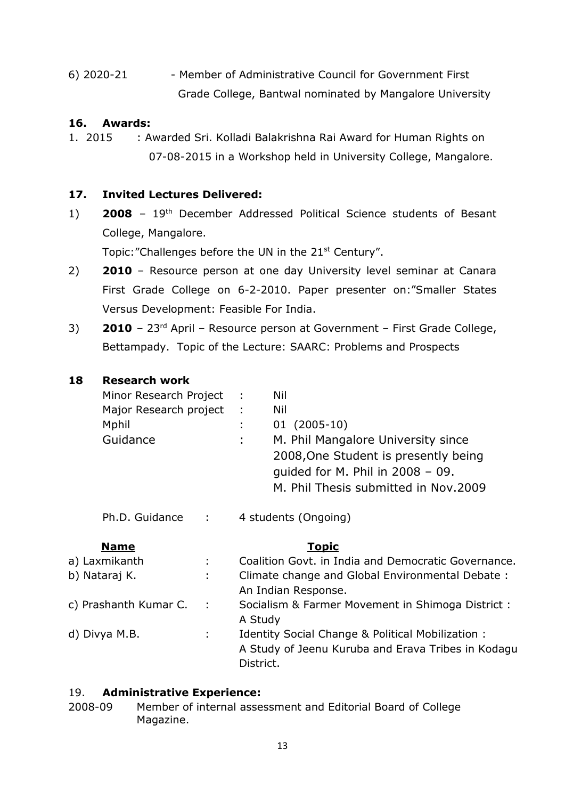6) 2020-21 - Member of Administrative Council for Government First Grade College, Bantwal nominated by Mangalore University

## **16. Awards:**

1. 2015 : Awarded Sri. Kolladi Balakrishna Rai Award for Human Rights on 07-08-2015 in a Workshop held in University College, Mangalore.

## **17. Invited Lectures Delivered:**

1) **2008** – 19th December Addressed Political Science students of Besant College, Mangalore.

Topic: "Challenges before the UN in the 21<sup>st</sup> Century".

- 2) **2010** Resource person at one day University level seminar at Canara First Grade College on 6-2-2010. Paper presenter on:"Smaller States Versus Development: Feasible For India.
- 3) **2010**  23rd April Resource person at Government First Grade College, Bettampady. Topic of the Lecture: SAARC: Problems and Prospects

## **18 Research work**

| Minor Research Project<br>Major Research project<br>Mphil<br>Guidance |          | Nil<br>$\mathbb{R}^n$<br>Nil<br>$01(2005-10)$<br>M. Phil Mangalore University since<br>÷<br>2008, One Student is presently being<br>quided for M. Phil in $2008 - 09$ .<br>M. Phil Thesis submitted in Nov.2009 |
|-----------------------------------------------------------------------|----------|-----------------------------------------------------------------------------------------------------------------------------------------------------------------------------------------------------------------|
|                                                                       |          | Ph.D. Guidance : 4 students (Ongoing)                                                                                                                                                                           |
| <b>Name</b>                                                           |          | <u>Topic</u>                                                                                                                                                                                                    |
| a) Laxmikanth                                                         |          | Coalition Govt, in India and Democratic Governance.                                                                                                                                                             |
| b) Nataraj K.                                                         |          | Climate change and Global Environmental Debate:<br>An Indian Response.                                                                                                                                          |
| c) Prashanth Kumar C.                                                 | $\sim$ 1 | Socialism & Farmer Movement in Shimoga District:<br>A Study                                                                                                                                                     |
| d) Divya M.B.                                                         |          | Identity Social Change & Political Mobilization:<br>A Study of Jeenu Kuruba and Erava Tribes in Kodagu<br>District.                                                                                             |

## 19. **Administrative Experience:**

2008-09 Member of internal assessment and Editorial Board of College Magazine.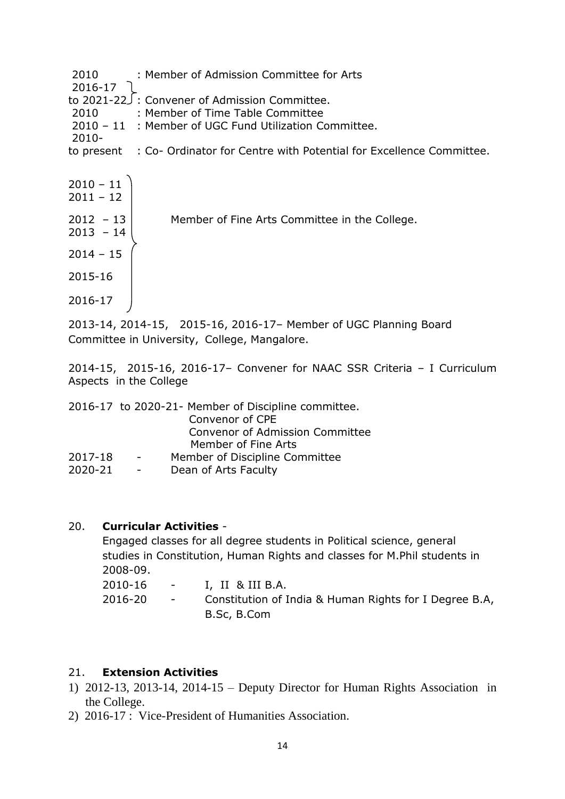|        | 2010 : Member of Admission Committee for Arts                                  |
|--------|--------------------------------------------------------------------------------|
|        |                                                                                |
|        |                                                                                |
| 2010 — | : Member of Time Table Committee                                               |
|        | 2010 - 11 : Member of UGC Fund Utilization Committee.                          |
| -2010  |                                                                                |
|        | to present : Co- Ordinator for Centre with Potential for Excellence Committee. |
|        |                                                                                |

| $2010 - 11$<br>$2011 - 12$ |                                               |
|----------------------------|-----------------------------------------------|
| $2012 - 13$<br>$2013 - 14$ | Member of Fine Arts Committee in the College. |
| $2014 - 15$                |                                               |
| 2015-16                    |                                               |
| 2016-17                    |                                               |

2013-14, 2014-15, 2015-16, 2016-17– Member of UGC Planning Board Committee in University, College, Mangalore.

2014-15, 2015-16, 2016-17– Convener for NAAC SSR Criteria – I Curriculum Aspects in the College

|         |                         | 2016-17 to 2020-21- Member of Discipline committee. |
|---------|-------------------------|-----------------------------------------------------|
|         |                         | Convenor of CPE                                     |
|         |                         | <b>Convenor of Admission Committee</b>              |
|         |                         | Member of Fine Arts                                 |
| 2017-18 | $\sim 100$ km s $^{-1}$ | Member of Discipline Committee                      |
| 2020-21 | $\sim$                  | Dean of Arts Faculty                                |

#### 20. **Curricular Activities** -

Engaged classes for all degree students in Political science, general studies in Constitution, Human Rights and classes for M.Phil students in 2008-09. 2010-16 - I, II & III B.A. 2016-20 - Constitution of India & Human Rights for I Degree B.A, B.Sc, B.Com

## 21. **Extension Activities**

- 1) 2012-13, 2013-14, 2014-15 Deputy Director for Human Rights Association in the College.
- 2) 2016-17 : Vice-President of Humanities Association.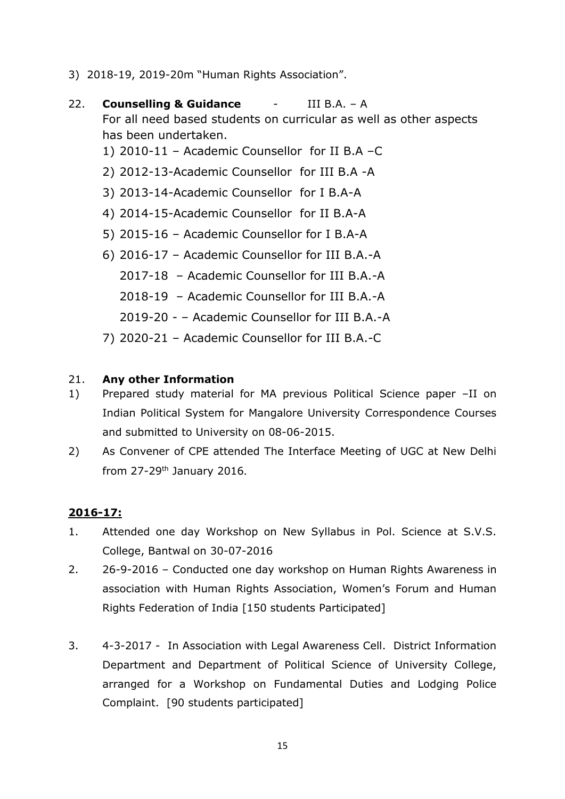- 3) 2018-19, 2019-20m "Human Rights Association".
- 22. **Counselling & Guidance** III B.A. A For all need based students on curricular as well as other aspects has been undertaken.
	- 1) 2010-11 Academic Counsellor for II B.A –C
	- 2) 2012-13-Academic Counsellor for III B.A -A
	- 3) 2013-14-Academic Counsellor for I B.A-A
	- 4) 2014-15-Academic Counsellor for II B.A-A
	- 5) 2015-16 Academic Counsellor for I B.A-A
	- 6) 2016-17 Academic Counsellor for III B.A.-A
		- 2017-18 Academic Counsellor for III B.A.-A
		- 2018-19 Academic Counsellor for III B.A.-A
		- 2019-20 – Academic Counsellor for III B.A.-A
	- 7) 2020-21 Academic Counsellor for III B.A.-C

## 21. **Any other Information**

- 1) Prepared study material for MA previous Political Science paper –II on Indian Political System for Mangalore University Correspondence Courses and submitted to University on 08-06-2015.
- 2) As Convener of CPE attended The Interface Meeting of UGC at New Delhi from 27-29th January 2016.

## **2016-17:**

- 1. Attended one day Workshop on New Syllabus in Pol. Science at S.V.S. College, Bantwal on 30-07-2016
- 2. 26-9-2016 Conducted one day workshop on Human Rights Awareness in association with Human Rights Association, Women's Forum and Human Rights Federation of India [150 students Participated]
- 3. 4-3-2017 In Association with Legal Awareness Cell. District Information Department and Department of Political Science of University College, arranged for a Workshop on Fundamental Duties and Lodging Police Complaint. [90 students participated]